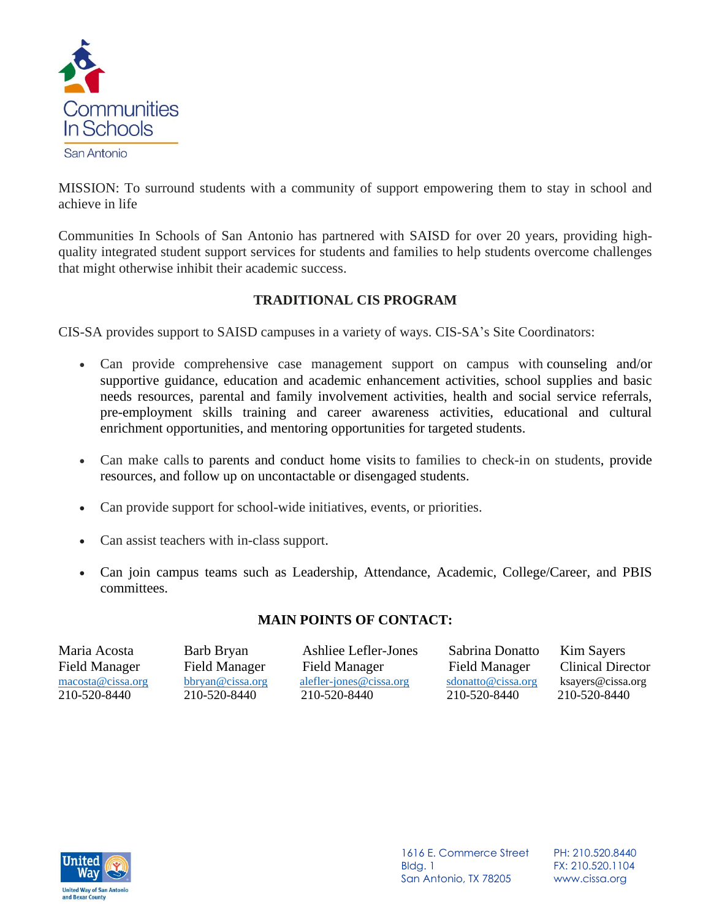

MISSION: To surround students with a community of support empowering them to stay in school and achieve in life

Communities In Schools of San Antonio has partnered with SAISD for over 20 years, providing highquality integrated student support services for students and families to help students overcome challenges that might otherwise inhibit their academic success.

# **TRADITIONAL CIS PROGRAM**

CIS-SA provides support to SAISD campuses in a variety of ways. CIS-SA's Site Coordinators:

- Can provide comprehensive case management support on campus with counseling and/or supportive guidance, education and academic enhancement activities, school supplies and basic needs resources, parental and family involvement activities, health and social service referrals, pre-employment skills training and career awareness activities, educational and cultural enrichment opportunities, and mentoring opportunities for targeted students.
- Can make calls to parents and conduct home visits to families to check-in on students, provide resources, and follow up on uncontactable or disengaged students.
- Can provide support for school-wide initiatives, events, or priorities.
- Can assist teachers with in-class support.
- Can join campus teams such as Leadership, Attendance, Academic, College/Career, and PBIS committees.

### **MAIN POINTS OF CONTACT:**

| Maria Acosta         | Barb Bryan           | Ashliee Lefler-Jones    | Sabrina Donatto      | Kim Sayers               |
|----------------------|----------------------|-------------------------|----------------------|--------------------------|
| <b>Field Manager</b> | <b>Field Manager</b> | Field Manager           | <b>Field Manager</b> | <b>Clinical Director</b> |
| macosta@cissa.org    | bbryan@cissa.org     | alefler-jones@cissa.org | sdonatto@cissa.org   | ksayers@cissa.org        |
| 210-520-8440         | 210-520-8440         | 210-520-8440            | 210-520-8440         | 210-520-8440             |



1616 E. Commerce Street Bldg. 1 San Antonio, TX 78205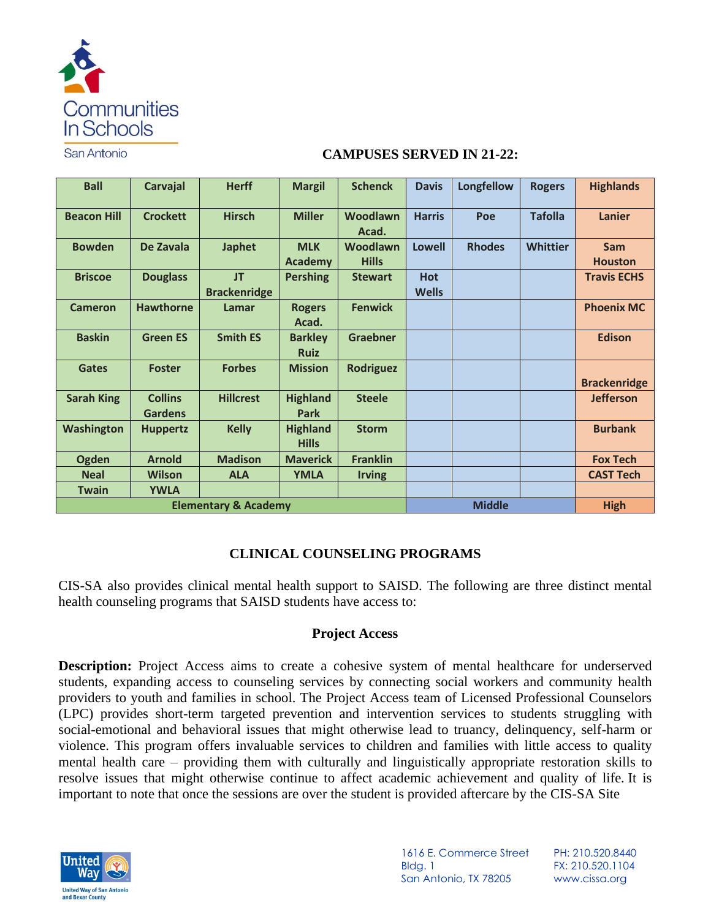

San Antonio

#### **CAMPUSES SERVED IN 21-22:**

| <b>Ball</b>                     | Carvajal                         | <b>Herff</b>        | <b>Margil</b>                   | <b>Schenck</b>    | <b>Davis</b>  | <b>Longfellow</b> | <b>Rogers</b>   | <b>Highlands</b>    |
|---------------------------------|----------------------------------|---------------------|---------------------------------|-------------------|---------------|-------------------|-----------------|---------------------|
| <b>Beacon Hill</b>              | <b>Crockett</b>                  | <b>Hirsch</b>       | <b>Miller</b>                   | Woodlawn<br>Acad. | <b>Harris</b> | Poe               | <b>Tafolla</b>  | <b>Lanier</b>       |
| <b>Bowden</b>                   | De Zavala                        | <b>Japhet</b>       | <b>MLK</b>                      | Woodlawn          | <b>Lowell</b> | <b>Rhodes</b>     | <b>Whittier</b> | <b>Sam</b>          |
|                                 |                                  |                     | <b>Academy</b>                  | <b>Hills</b>      |               |                   |                 | <b>Houston</b>      |
| <b>Briscoe</b>                  | <b>Douglass</b>                  | <b>JT</b>           | <b>Pershing</b>                 | <b>Stewart</b>    | <b>Hot</b>    |                   |                 | <b>Travis ECHS</b>  |
|                                 |                                  | <b>Brackenridge</b> |                                 |                   | <b>Wells</b>  |                   |                 |                     |
| <b>Cameron</b>                  | <b>Hawthorne</b>                 | Lamar               | <b>Rogers</b><br>Acad.          | <b>Fenwick</b>    |               |                   |                 | <b>Phoenix MC</b>   |
| <b>Baskin</b>                   | <b>Green ES</b>                  | <b>Smith ES</b>     | <b>Barkley</b><br><b>Ruiz</b>   | <b>Graebner</b>   |               |                   |                 | <b>Edison</b>       |
| <b>Gates</b>                    | <b>Foster</b>                    | <b>Forbes</b>       | <b>Mission</b>                  | <b>Rodriguez</b>  |               |                   |                 | <b>Brackenridge</b> |
| <b>Sarah King</b>               | <b>Collins</b><br><b>Gardens</b> | <b>Hillcrest</b>    | <b>Highland</b><br>Park         | <b>Steele</b>     |               |                   |                 | <b>Jefferson</b>    |
| <b>Washington</b>               | <b>Huppertz</b>                  | <b>Kelly</b>        | <b>Highland</b><br><b>Hills</b> | <b>Storm</b>      |               |                   |                 | <b>Burbank</b>      |
| <b>Ogden</b>                    | <b>Arnold</b>                    | <b>Madison</b>      | <b>Maverick</b>                 | <b>Franklin</b>   |               |                   |                 | <b>Fox Tech</b>     |
| <b>Neal</b>                     | <b>Wilson</b>                    | <b>ALA</b>          | <b>YMLA</b>                     | <b>Irving</b>     |               |                   |                 | <b>CAST Tech</b>    |
| <b>Twain</b>                    | <b>YWLA</b>                      |                     |                                 |                   |               |                   |                 |                     |
| <b>Elementary &amp; Academy</b> |                                  |                     |                                 |                   | <b>Middle</b> |                   | <b>High</b>     |                     |

### **CLINICAL COUNSELING PROGRAMS**

CIS-SA also provides clinical mental health support to SAISD. The following are three distinct mental health counseling programs that SAISD students have access to:

### **Project Access**

**Description:** Project Access aims to create a cohesive system of mental healthcare for underserved students, expanding access to counseling services by connecting social workers and community health providers to youth and families in school. The Project Access team of Licensed Professional Counselors (LPC) provides short-term targeted prevention and intervention services to students struggling with social-emotional and behavioral issues that might otherwise lead to truancy, delinquency, self-harm or violence. This program offers invaluable services to children and families with little access to quality mental health care – providing them with culturally and linguistically appropriate restoration skills to resolve issues that might otherwise continue to affect academic achievement and quality of life. It is important to note that once the sessions are over the student is provided aftercare by the CIS-SA Site



1616 E. Commerce Street Bldg. 1 San Antonio, TX 78205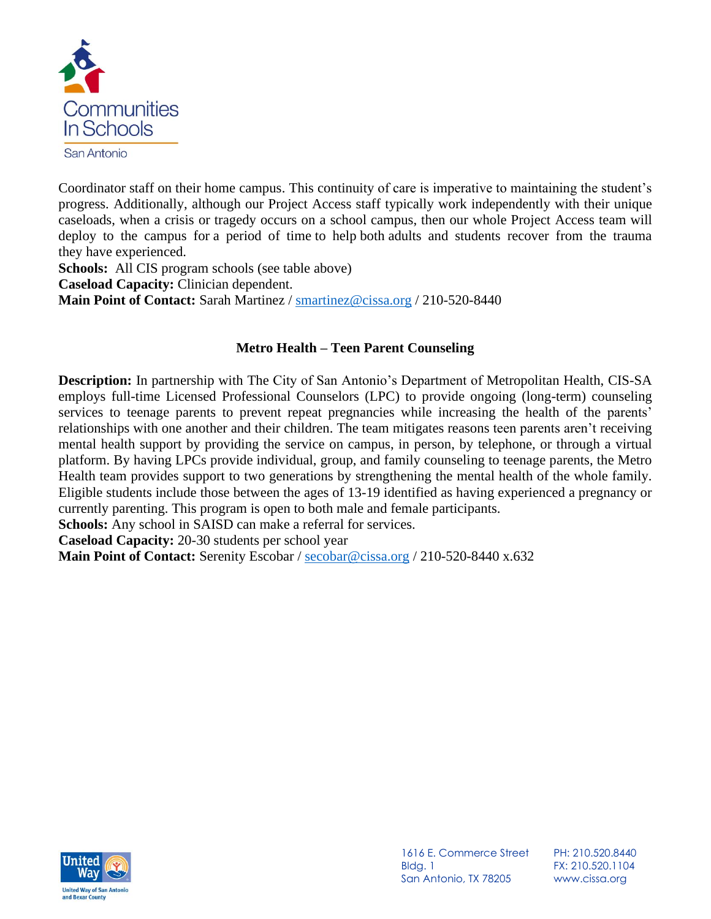

Coordinator staff on their home campus. This continuity of care is imperative to maintaining the student's progress. Additionally, although our Project Access staff typically work independently with their unique caseloads, when a crisis or tragedy occurs on a school campus, then our whole Project Access team will deploy to the campus for a period of time to help both adults and students recover from the trauma they have experienced.

**Schools:** All CIS program schools (see table above) **Caseload Capacity:** Clinician dependent. **Main Point of Contact:** Sarah Martinez / [smartinez@cissa.org](mailto:smartinez@cissa.org) / 210-520-8440

# **Metro Health – Teen Parent Counseling**

**Description:** In partnership with The City of San Antonio's Department of Metropolitan Health, CIS-SA employs full-time Licensed Professional Counselors (LPC) to provide ongoing (long-term) counseling services to teenage parents to prevent repeat pregnancies while increasing the health of the parents' relationships with one another and their children. The team mitigates reasons teen parents aren't receiving mental health support by providing the service on campus, in person, by telephone, or through a virtual platform. By having LPCs provide individual, group, and family counseling to teenage parents, the Metro Health team provides support to two generations by strengthening the mental health of the whole family. Eligible students include those between the ages of 13-19 identified as having experienced a pregnancy or currently parenting. This program is open to both male and female participants.

**Schools:** Any school in SAISD can make a referral for services.

**Caseload Capacity:** 20-30 students per school year

**Main Point of Contact:** Serenity Escobar / [secobar@cissa.org](mailto:secobar@cissa.org) / 210-520-8440 x.632



1616 E. Commerce Street Bldg. 1 San Antonio, TX 78205